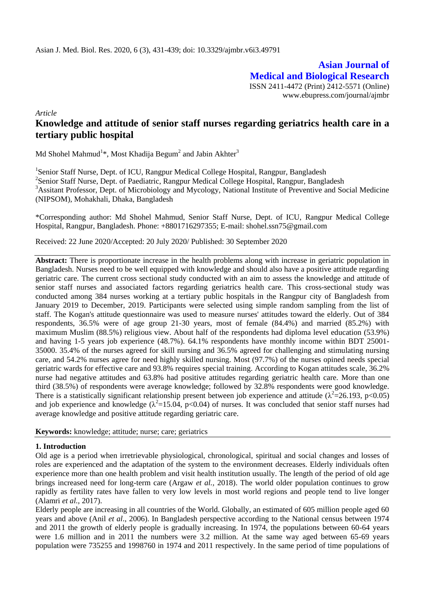**Asian Journal of Medical and Biological Research** ISSN 2411-4472 (Print) 2412-5571 (Online) www.ebupress.com/journal/ajmbr

*Article*

# **Knowledge and attitude of senior staff nurses regarding geriatrics health care in a tertiary public hospital**

Md Shohel Mahmud $^{1*}$ , Most Khadija Begum $^2$  and Jabin Akhter $^3$ 

<sup>1</sup>Senior Staff Nurse, Dept. of ICU, Rangpur Medical College Hospital, Rangpur, Bangladesh <sup>2</sup>Senior Staff Nurse, Dept. of Paediatric, Rangpur Medical College Hospital, Rangpur, Bangladesh <sup>3</sup>Assitant Professor, Dept. of Microbiology and Mycology, National Institute of Preventive and Social Medicine (NIPSOM), Mohakhali, Dhaka, Bangladesh

\*Corresponding author: Md Shohel Mahmud, Senior Staff Nurse, Dept. of ICU, Rangpur Medical College Hospital, Rangpur, Bangladesh. Phone: +8801716297355; E-mail: shohel.ssn75@gmail.com

Received: 22 June 2020/Accepted: 20 July 2020/ Published: 30 September 2020

**Abstract:** There is proportionate increase in the health problems along with increase in geriatric population in Bangladesh. Nurses need to be well equipped with knowledge and should also have a positive attitude regarding geriatric care. The current cross sectional study conducted with an aim to assess the knowledge and attitude of senior staff nurses and associated factors regarding geriatrics health care. This cross-sectional study was conducted among 384 nurses working at a tertiary public hospitals in the Rangpur city of Bangladesh from January 2019 to December, 2019. Participants were selected using simple random sampling from the list of staff. The Kogan's attitude questionnaire was used to measure nurses' attitudes toward the elderly. Out of 384 respondents, 36.5% were of age group 21-30 years, most of female (84.4%) and married (85.2%) with maximum Muslim (88.5%) religious view. About half of the respondents had diploma level education (53.9%) and having 1-5 years job experience (48.7%). 64.1% respondents have monthly income within BDT 25001- 35000. 35.4% of the nurses agreed for skill nursing and 36.5% agreed for challenging and stimulating nursing care, and 54.2% nurses agree for need highly skilled nursing. Most (97.7%) of the nurses opined needs special geriatric wards for effective care and 93.8% requires special training. According to Kogan attitudes scale, 36.2% nurse had negative attitudes and 63.8% had positive attitudes regarding geriatric health care. More than one third (38.5%) of respondents were average knowledge; followed by 32.8% respondents were good knowledge. There is a statistically significant relationship present between job experience and attitude ( $\lambda^2$ =26.193, p<0.05) and job experience and knowledge ( $\lambda^2$ =15.04, p<0.04) of nurses. It was concluded that senior staff nurses had average knowledge and positive attitude regarding geriatric care.

**Keywords:** knowledge; attitude; nurse; care; geriatrics

## **1. Introduction**

Old age is a period when irretrievable physiological, chronological, spiritual and social changes and losses of roles are experienced and the adaptation of the system to the environment decreases. Elderly individuals often experience more than one health problem and visit health institution usually. The length of the period of old age brings increased need for long-term care (Argaw *et al.,* 2018). The world older population continues to grow rapidly as fertility rates have fallen to very low levels in most world regions and people tend to live longer (Alamri *et al.,* 2017).

Elderly people are increasing in all countries of the World. Globally, an estimated of 605 million people aged 60 years and above (Anil *et al*., 2006). In Bangladesh perspective according to the National census between 1974 and 2011 the growth of elderly people is gradually increasing. In 1974, the populations between 60-64 years were 1.6 million and in 2011 the numbers were 3.2 million. At the same way aged between 65-69 years population were 735255 and 1998760 in 1974 and 2011 respectively. In the same period of time populations of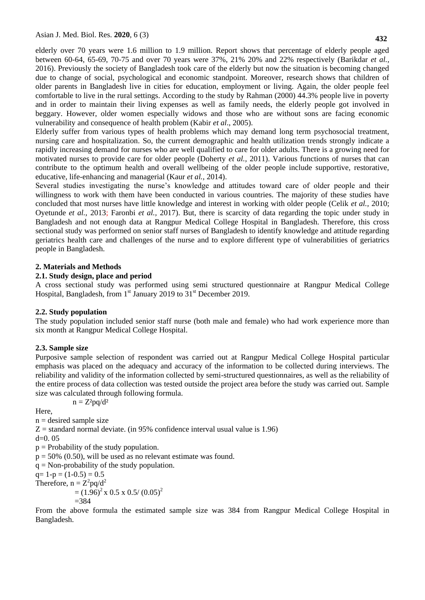**432**

elderly over 70 years were 1.6 million to 1.9 million. Report shows that percentage of elderly people aged between 60-64, 65-69, 70-75 and over 70 years were 37%, 21% 20% and 22% respectively (Barikdar *et al.,* 2016). Previously the society of Bangladesh took care of the elderly but now the situation is becoming changed due to change of social, psychological and economic standpoint. Moreover, research shows that children of older parents in Bangladesh live in cities for education, employment or living. Again, the older people feel comfortable to live in the rural settings. According to the study by Rahman (2000) 44.3% people live in poverty and in order to maintain their living expenses as well as family needs, the elderly people got involved in beggary. However, older women especially widows and those who are without sons are facing economic vulnerability and consequence of health problem (Kabir *et al*., 2005).

Elderly suffer from various types of health problems which may demand long term psychosocial treatment, nursing care and hospitalization. So, the current demographic and health utilization trends strongly indicate a rapidly increasing demand for nurses who are well qualified to care for older adults. There is a growing need for motivated nurses to provide care for older people (Doherty *et al.,* 2011). Various functions of nurses that can contribute to the optimum health and overall wellbeing of the older people include supportive, restorative, educative, life-enhancing and managerial (Kaur *et al.,* 2014).

Several studies investigating the nurse's knowledge and attitudes toward care of older people and their willingness to work with them have been conducted in various countries. The majority of these studies have concluded that most nurses have little knowledge and interest in working with older people (Celik *et al.,* 2010; Oyetunde *et al.,* 2013; Faronbi *et al.,* 2017). But, there is scarcity of data regarding the topic under study in Bangladesh and not enough data at Rangpur Medical College Hospital in Bangladesh. Therefore, this cross sectional study was performed on senior staff nurses of Bangladesh to identify knowledge and attitude regarding geriatrics health care and challenges of the nurse and to explore different type of vulnerabilities of geriatrics people in Bangladesh.

# **2. Materials and Methods**

## **2.1. Study design, place and period**

A cross sectional study was performed using semi structured questionnaire at Rangpur Medical College Hospital, Bangladesh, from  $1<sup>st</sup>$  January 2019 to  $31<sup>st</sup>$  December 2019.

# **2.2. Study population**

The study population included senior staff nurse (both male and female) who had work experience more than six month at Rangpur Medical College Hospital.

# **2.3. Sample size**

Purposive sample selection of respondent was carried out at Rangpur Medical College Hospital particular emphasis was placed on the adequacy and accuracy of the information to be collected during interviews. The reliability and validity of the information collected by semi-structured questionnaires, as well as the reliability of the entire process of data collection was tested outside the project area before the study was carried out. Sample size was calculated through following formula.

Here,

 $n =$  desired sample size

 $Z =$  standard normal deviate. (in 95% confidence interval usual value is 1.96)

 $d=0.05$ 

 $p =$  Probability of the study population.

 $n = Z^2pq/d^2$ 

 $p = 50\%$  (0.50), will be used as no relevant estimate was found.

 $q = Non-probability of the study population.$ 

 $q= 1-p = (1-0.5) = 0.5$ There

Therefore, n = 
$$
Z^2 pq/d^2
$$
  
=  $(1.96)^2 x 0.5 x 0.5/(0.05)^2$   
= 384

From the above formula the estimated sample size was 384 from Rangpur Medical College Hospital in Bangladesh.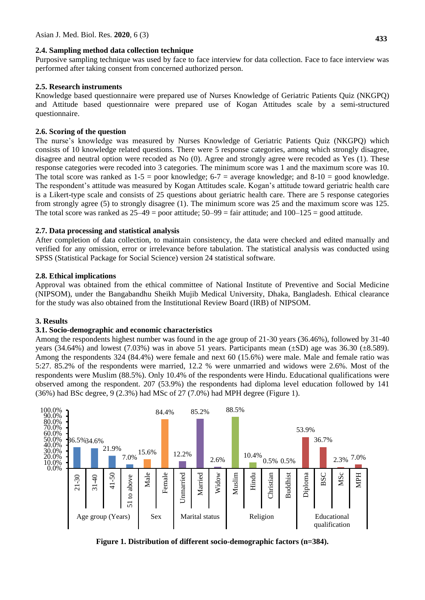## **2.4. Sampling method data collection technique**

Purposive sampling technique was used by face to face interview for data collection. Face to face interview was performed after taking consent from concerned authorized person.

## **2.5. Research instruments**

Knowledge based questionnaire were prepared use of Nurses Knowledge of Geriatric Patients Quiz (NKGPQ) and Attitude based questionnaire were prepared use of Kogan Attitudes scale by a semi-structured questionnaire.

## **2.6. Scoring of the question**

The nurse's knowledge was measured by Nurses Knowledge of Geriatric Patients Quiz (NKGPQ) which consists of 10 knowledge related questions. There were 5 response categories, among which strongly disagree, disagree and neutral option were recoded as No (0). Agree and strongly agree were recoded as Yes (1). These response categories were recoded into 3 categories. The minimum score was 1 and the maximum score was 10. The total score was ranked as  $1-5 =$  poor knowledge;  $6-7 =$  average knowledge; and  $8-10 =$  good knowledge. The respondent's attitude was measured by Kogan Attitudes scale. Kogan's attitude toward geriatric health care is a Likert-type scale and consists of 25 questions about geriatric health care. There are 5 response categories from strongly agree (5) to strongly disagree (1). The minimum score was 25 and the maximum score was 125. The total score was ranked as  $25-49 =$  poor attitude;  $50-99 =$  fair attitude; and  $100-125 =$  good attitude.

## **2.7. Data processing and statistical analysis**

After completion of data collection, to maintain consistency, the data were checked and edited manually and verified for any omission, error or irrelevance before tabulation. The statistical analysis was conducted using SPSS (Statistical Package for Social Science) version 24 statistical software.

## **2.8. Ethical implications**

Approval was obtained from the ethical committee of National Institute of Preventive and Social Medicine (NIPSOM), under the Bangabandhu Sheikh Mujib Medical University, Dhaka, Bangladesh. Ethical clearance for the study was also obtained from the Institutional Review Board (IRB) of NIPSOM.

## **3. Results**

## **3.1. Socio-demographic and economic characteristics**

Among the respondents highest number was found in the age group of 21-30 years (36.46%), followed by 31-40 years (34.64%) and lowest (7.03%) was in above 51 years. Participants mean  $(\pm SD)$  age was 36.30  $(\pm 8.589)$ . Among the respondents 324 (84.4%) were female and next 60 (15.6%) were male. Male and female ratio was 5:27. 85.2% of the respondents were married, 12.2 % were unmarried and widows were 2.6%. Most of the respondents were Muslim (88.5%). Only 10.4% of the respondents were Hindu. Educational qualifications were observed among the respondent. 207 (53.9%) the respondents had diploma level education followed by 141 (36%) had BSc degree, 9 (2.3%) had MSc of 27 (7.0%) had MPH degree (Figure 1).



**Figure 1. Distribution of different socio-demographic factors (n=384).**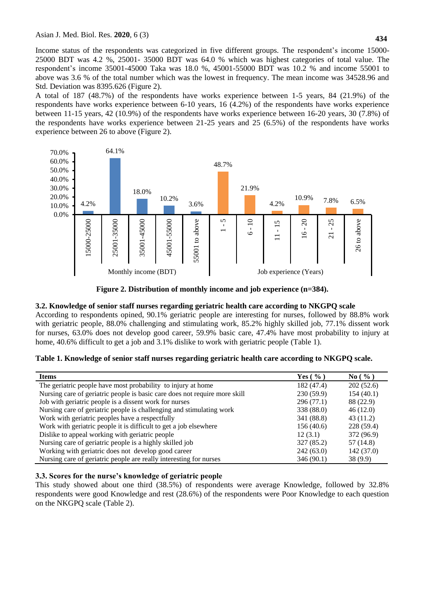Income status of the respondents was categorized in five different groups. The respondent's income 15000- 25000 BDT was 4.2 %, 25001- 35000 BDT was 64.0 % which was highest categories of total value. The respondent's income 35001-45000 Taka was 18.0 %, 45001-55000 BDT was 10.2 % and income 55001 to above was 3.6 % of the total number which was the lowest in frequency. The mean income was 34528.96 and Std. Deviation was 8395.626 (Figure 2).

A total of 187 (48.7%) of the respondents have works experience between 1-5 years, 84 (21.9%) of the respondents have works experience between 6-10 years, 16 (4.2%) of the respondents have works experience between 11-15 years, 42 (10.9%) of the respondents have works experience between 16-20 years, 30 (7.8%) of the respondents have works experience between 21-25 years and 25 (6.5%) of the respondents have works experience between 26 to above (Figure 2).



**Figure 2. Distribution of monthly income and job experience (n=384).**

# **3.2. Knowledge of senior staff nurses regarding geriatric health care according to NKGPQ scale**

According to respondents opined, 90.1% geriatric people are interesting for nurses, followed by 88.8% work with geriatric people, 88.0% challenging and stimulating work, 85.2% highly skilled job, 77.1% dissent work for nurses, 63.0% does not develop good career, 59.9% basic care, 47.4% have most probability to injury at home, 40.6% difficult to get a job and 3.1% dislike to work with geriatric people (Table 1).

|  | Table 1. Knowledge of senior staff nurses regarding geriatric health care according to NKGPQ scale. |  |
|--|-----------------------------------------------------------------------------------------------------|--|
|  |                                                                                                     |  |

| <b>Items</b>                                                               | Yes $(\% )$ | $\mathrm{No}$ ( $\%$ ) |
|----------------------------------------------------------------------------|-------------|------------------------|
| The geriatric people have most probability to injury at home               | 182 (47.4)  | 202(52.6)              |
| Nursing care of geriatric people is basic care does not require more skill | 230(59.9)   | 154(40.1)              |
| Job with geriatric people is a dissent work for nurses                     | 296 (77.1)  | 88 (22.9)              |
| Nursing care of geriatric people is challenging and stimulating work       | 338 (88.0)  | 46(12.0)               |
| Work with geriatric peoples have a respectfully                            | 341 (88.8)  | 43 (11.2)              |
| Work with geriatric people it is difficult to get a job elsewhere          | 156(40.6)   | 228 (59.4)             |
| Dislike to appeal working with geriatric people                            | 12(3.1)     | 372 (96.9)             |
| Nursing care of geriatric people is a highly skilled job                   | 327 (85.2)  | 57 (14.8)              |
| Working with geriatric does not develop good career                        | 242(63.0)   | 142(37.0)              |
| Nursing care of geriatric people are really interesting for nurses         | 346 (90.1)  | 38(9.9)                |

## **3.3. Scores for the nurse's knowledge of geriatric people**

This study showed about one third (38.5%) of respondents were average Knowledge, followed by 32.8% respondents were good Knowledge and rest (28.6%) of the respondents were Poor Knowledge to each question on the NKGPQ scale (Table 2).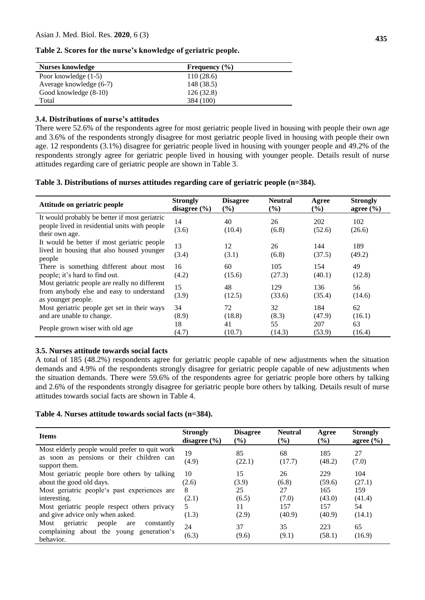| Table 2. Scores for the nurse's knowledge of geriatric people. |  |  |  |  |  |  |  |  |  |  |  |  |  |  |
|----------------------------------------------------------------|--|--|--|--|--|--|--|--|--|--|--|--|--|--|
|----------------------------------------------------------------|--|--|--|--|--|--|--|--|--|--|--|--|--|--|

| <b>Nurses knowledge</b> | Frequency $(\% )$ |  |
|-------------------------|-------------------|--|
| Poor knowledge (1-5)    | 110(28.6)         |  |
| Average knowledge (6-7) | 148 (38.5)        |  |
| Good knowledge (8-10)   | 126(32.8)         |  |
| Total                   | 384 (100)         |  |

#### **3.4. Distributions of nurse's attitudes**

There were 52.6% of the respondents agree for most geriatric people lived in housing with people their own age and 3.6% of the respondents strongly disagree for most geriatric people lived in housing with people their own age. 12 respondents (3.1%) disagree for geriatric people lived in housing with younger people and 49.2% of the respondents strongly agree for geriatric people lived in housing with younger people. Details result of nurse attitudes regarding care of geriatric people are shown in Table 3.

| Table 3. Distributions of nurses attitudes regarding care of geriatric people (n=384). |  |  |  |  |
|----------------------------------------------------------------------------------------|--|--|--|--|
|                                                                                        |  |  |  |  |

| Attitude on geriatric people                                                                                     | <b>Strongly</b>  | <b>Disagree</b> | <b>Neutral</b> | Agree         | <b>Strongly</b> |
|------------------------------------------------------------------------------------------------------------------|------------------|-----------------|----------------|---------------|-----------------|
|                                                                                                                  | disagree $(\% )$ | $($ %)          | $($ %)         | $(\%)$        | agree $(\% )$   |
| It would probably be better if most geriatric<br>people lived in residential units with people<br>their own age. | 14<br>(3.6)      | 40<br>(10.4)    | 26<br>(6.8)    | 202<br>(52.6) | 102<br>(26.6)   |
| It would be better if most geriatric people<br>lived in housing that also housed younger<br>people               | 13<br>(3.4)      | 12<br>(3.1)     | 26<br>(6.8)    | 144<br>(37.5) | 189<br>(49.2)   |
| There is something different about most                                                                          | 16               | 60              | 105            | 154           | 49              |
| people; it's hard to find out.                                                                                   | (4.2)            | (15.6)          | (27.3)         | (40.1)        | (12.8)          |
| Most geriatric people are really no different<br>from anybody else and easy to understand<br>as younger people.  | 15<br>(3.9)      | 48<br>(12.5)    | 129<br>(33.6)  | 136<br>(35.4) | 56<br>(14.6)    |
| Most geriatric people get set in their ways                                                                      | 34               | 72              | 32             | 184           | 62              |
| and are unable to change.                                                                                        | (8.9)            | (18.8)          | (8.3)          | (47.9)        | (16.1)          |
| People grown wiser with old age                                                                                  | 18               | 41              | 55             | 207           | 63              |
|                                                                                                                  | (4.7)            | (10.7)          | (14.3)         | (53.9)        | (16.4)          |

#### **3.5. Nurses attitude towards social facts**

A total of 185 (48.2%) respondents agree for geriatric people capable of new adjustments when the situation demands and 4.9% of the respondents strongly disagree for geriatric people capable of new adjustments when the situation demands. There were 59.6% of the respondents agree for geriatric people bore others by talking and 2.6% of the respondents strongly disagree for geriatric people bore others by talking. Details result of nurse attitudes towards social facts are shown in Table 4.

#### **Table 4. Nurses attitude towards social facts (n=384).**

| <b>Items</b>                                                                                                | <b>Strongly</b>  | <b>Disagree</b> | <b>Neutral</b> | Agree         | <b>Strongly</b> |
|-------------------------------------------------------------------------------------------------------------|------------------|-----------------|----------------|---------------|-----------------|
|                                                                                                             | disagree $(\% )$ | $\frac{9}{6}$   | $\frac{6}{6}$  | $(\%)$        | agree $(\% )$   |
| Most elderly people would prefer to quit work<br>as soon as pensions or their children can<br>support them. | 19<br>(4.9)      | 85<br>(22.1)    | 68<br>(17.7)   | 185<br>(48.2) | 27<br>(7.0)     |
| Most geriatric people bore others by talking                                                                | 10               | 15              | 26             | 229           | 104             |
| about the good old days.                                                                                    | (2.6)            | (3.9)           | (6.8)          | (59.6)        | (27.1)          |
| Most geriatric people's past experiences are                                                                | 8                | 25              | 27             | 165           | 159             |
| interesting.                                                                                                | (2.1)            | (6.5)           | (7.0)          | (43.0)        | (41.4)          |
| Most geriatric people respect others privacy                                                                | 5                | 11              | 157            | 157           | 54              |
| and give advice only when asked.                                                                            | (1.3)            | (2.9)           | (40.9)         | (40.9)        | (14.1)          |
| geriatric<br>Most<br>people<br>are<br>constantly<br>complaining about the young generation's<br>behavior.   | 24<br>(6.3)      | 37<br>(9.6)     | 35<br>(9.1)    | 223<br>(58.1) | 65<br>(16.9)    |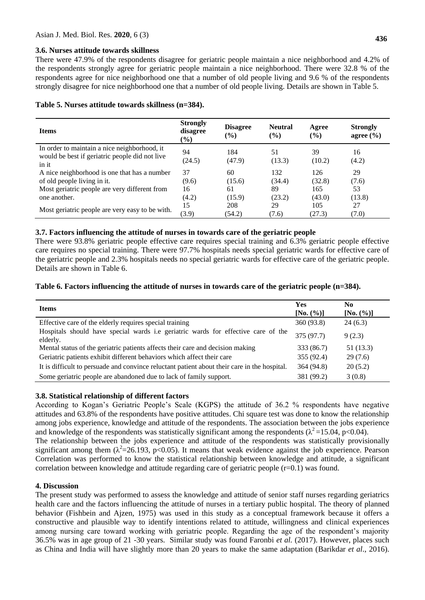#### **3.6. Nurses attitude towards skillness**

There were 47.9% of the respondents disagree for geriatric people maintain a nice neighborhood and 4.2% of the respondents strongly agree for geriatric people maintain a nice neighborhood. There were 32.8 % of the respondents agree for nice neighborhood one that a number of old people living and 9.6 % of the respondents strongly disagree for nice neighborhood one that a number of old people living. Details are shown in Table 5.

| Table 5. Nurses attitude towards skillness (n=384). |  |  |  |  |
|-----------------------------------------------------|--|--|--|--|
|-----------------------------------------------------|--|--|--|--|

| <b>Items</b>                                                                                            | <b>Strongly</b><br>disagree<br>$(\%)$ | <b>Disagree</b><br>$(\%)$ | <b>Neutral</b><br>$($ %) | Agree<br>$($ %) | <b>Strongly</b><br>agree $(\% )$ |
|---------------------------------------------------------------------------------------------------------|---------------------------------------|---------------------------|--------------------------|-----------------|----------------------------------|
| In order to maintain a nice neighborhood, it<br>would be best if geriatric people did not live<br>in it | 94<br>(24.5)                          | 184<br>(47.9)             | 51<br>(13.3)             | 39<br>(10.2)    | 16<br>(4.2)                      |
| A nice neighborhood is one that has a number                                                            | 37                                    | 60                        | 132                      | 126             | 29                               |
| of old people living in it.                                                                             | (9.6)                                 | (15.6)                    | (34.4)                   | (32.8)          | (7.6)                            |
| Most geriatric people are very different from                                                           | 16                                    | 61                        | 89                       | 165             | 53                               |
| one another.                                                                                            | (4.2)                                 | (15.9)                    | (23.2)                   | (43.0)          | (13.8)                           |
|                                                                                                         | 15                                    | 208                       | 29                       | 105             | 27                               |
| Most geriatric people are very easy to be with.                                                         | (3.9)                                 | (54.2)                    | (7.6)                    | (27.3)          | (7.0)                            |

## **3.7. Factors influencing the attitude of nurses in towards care of the geriatric people**

There were 93.8% geriatric people effective care requires special training and 6.3% geriatric people effective care requires no special training. There were 97.7% hospitals needs special geriatric wards for effective care of the geriatric people and 2.3% hospitals needs no special geriatric wards for effective care of the geriatric people. Details are shown in Table 6.

## **Table 6. Factors influencing the attitude of nurses in towards care of the geriatric people (n=384).**

| <b>Items</b>                                                                                  | <b>Yes</b><br>[No. (%)] | N <sub>0</sub><br>[No. (%)] |
|-----------------------------------------------------------------------------------------------|-------------------------|-----------------------------|
| Effective care of the elderly requires special training                                       | 360 (93.8)              | 24(6.3)                     |
| Hospitals should have special wards i.e geriatric wards for effective care of the<br>elderly. | 375 (97.7)              | 9(2.3)                      |
| Mental status of the geriatric patients affects their care and decision making                | 333 (86.7)              | 51(13.3)                    |
| Geriatric patients exhibit different behaviors which affect their care                        | 355 (92.4)              | 29(7.6)                     |
| It is difficult to persuade and convince reluctant patient about their care in the hospital.  | 364 (94.8)              | 20(5.2)                     |
| Some geriatric people are abandoned due to lack of family support.                            | 381 (99.2)              | 3(0.8)                      |

## **3.8. Statistical relationship of different factors**

According to Kogan's Geriatric People's Scale (KGPS) the attitude of 36.2 % respondents have negative attitudes and 63.8% of the respondents have positive attitudes. Chi square test was done to know the relationship among jobs experience, knowledge and attitude of the respondents. The association between the jobs experience and knowledge of the respondents was statistically significant among the respondents ( $\lambda^2$ =15.04, p<0.04). The relationship between the jobs experience and attitude of the respondents was statistically provisionally

significant among them  $(\lambda^2=26.193, p<0.05)$ . It means that weak evidence against the job experience. Pearson Correlation was performed to know the statistical relationship between knowledge and attitude, a significant correlation between knowledge and attitude regarding care of geriatric people (r=0.1) was found.

## **4. Discussion**

The present study was performed to assess the knowledge and attitude of senior staff nurses regarding geriatrics health care and the factors influencing the attitude of nurses in a tertiary public hospital. The theory of planned behavior (Fishbein and Ajzen, 1975) was used in this study as a conceptual framework because it offers a constructive and plausible way to identify intentions related to attitude, willingness and clinical experiences among nursing care toward working with geriatric people. Regarding the age of the respondent's majority 36.5% was in age group of 21 -30 years. Similar study was found Faronbi *et al.* (2017). However, places such as China and India will have slightly more than 20 years to make the same adaptation (Barikdar *et al*., 2016).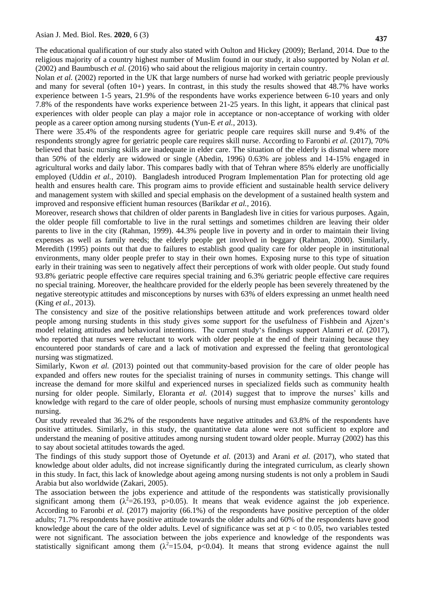The educational qualification of our study also stated with Oulton and Hickey (2009); Berland, 2014. Due to the religious majority of a country highest number of Muslim found in our study, it also supported by Nolan *et al.* (2002) and Baumbusch *et al.* (2016) who said about the religious majority in certain country.

Nolan *et al.* (2002) reported in the UK that large numbers of nurse had worked with geriatric people previously and many for several (often 10+) years. In contrast, in this study the results showed that 48.7% have works experience between 1-5 years, 21.9% of the respondents have works experience between 6-10 years and only 7.8% of the respondents have works experience between 21-25 years. In this light, it appears that clinical past experiences with older people can play a major role in acceptance or non-acceptance of working with older people as a career option among nursing students (Yun-E *et al.,* 2013).

There were 35.4% of the respondents agree for geriatric people care requires skill nurse and 9.4% of the respondents strongly agree for geriatric people care requires skill nurse. According to Faronbi *et al.* (2017), 70% believed that basic nursing skills are inadequate in elder care. The situation of the elderly is dismal where more than 50% of the elderly are widowed or single (Abedin, 1996) 0.63% are jobless and 14-15% engaged in agricultural works and daily labor. This compares badly with that of Tehran where 85% elderly are unofficially employed (Uddin *et al.,* 2010). Bangladesh introduced Program Implementation Plan for protecting old age health and ensures health care. This program aims to provide efficient and sustainable health service delivery and management system with skilled and special emphasis on the development of a sustained health system and improved and responsive efficient human resources (Barikdar *et al.,* 2016).

Moreover, research shows that children of older parents in Bangladesh live in cities for various purposes. Again, the older people fill comfortable to live in the rural settings and sometimes children are leaving their older parents to live in the city (Rahman, 1999). 44.3% people live in poverty and in order to maintain their living expenses as well as family needs; the elderly people get involved in beggary (Rahman, 2000). Similarly, Meredith (1995) points out that due to failures to establish good quality care for older people in institutional environments, many older people prefer to stay in their own homes. Exposing nurse to this type of situation early in their training was seen to negatively affect their perceptions of work with older people. Out study found 93.8% geriatric people effective care requires special training and 6.3% geriatric people effective care requires no special training. Moreover, the healthcare provided for the elderly people has been severely threatened by the negative stereotypic attitudes and misconceptions by nurses with 63% of elders expressing an unmet health need (King *et al.,* 2013).

The consistency and size of the positive relationships between attitude and work preferences toward older people among nursing students in this study gives some support for the usefulness of Fishbein and Ajzen's model relating attitudes and behavioral intentions. The current study's findings support Alamri *et al.* (2017), who reported that nurses were reluctant to work with older people at the end of their training because they encountered poor standards of care and a lack of motivation and expressed the feeling that gerontological nursing was stigmatized.

Similarly, Kwon *et al.* (2013) pointed out that community-based provision for the care of older people has expanded and offers new routes for the specialist training of nurses in community settings. This change will increase the demand for more skilful and experienced nurses in specialized fields such as community health nursing for older people. Similarly, Eloranta *et al.* (2014) suggest that to improve the nurses' kills and knowledge with regard to the care of older people, schools of nursing must emphasize community gerontology nursing.

Our study revealed that 36.2% of the respondents have negative attitudes and 63.8% of the respondents have positive attitudes. Similarly, in this study, the quantitative data alone were not sufficient to explore and understand the meaning of positive attitudes among nursing student toward older people. Murray (2002) has this to say about societal attitudes towards the aged.

The findings of this study support those of Oyetunde *et al.* (2013) and Arani *et al.* (2017), who stated that knowledge about older adults, did not increase significantly during the integrated curriculum, as clearly shown in this study. In fact, this lack of knowledge about ageing among nursing students is not only a problem in Saudi Arabia but also worldwide (Zakari, 2005).

The association between the jobs experience and attitude of the respondents was statistically provisionally significant among them  $(\lambda^2=26.193, p>0.05)$ . It means that weak evidence against the job experience. According to Faronbi *et al.* (2017) majority (66.1%) of the respondents have positive perception of the older adults; 71.7% respondents have positive attitude towards the older adults and 60% of the respondents have good knowledge about the care of the older adults. Level of significance was set at  $p <$  to 0.05, two variables tested were not significant. The association between the jobs experience and knowledge of the respondents was statistically significant among them  $(\lambda^2=15.04, p<0.04)$ . It means that strong evidence against the null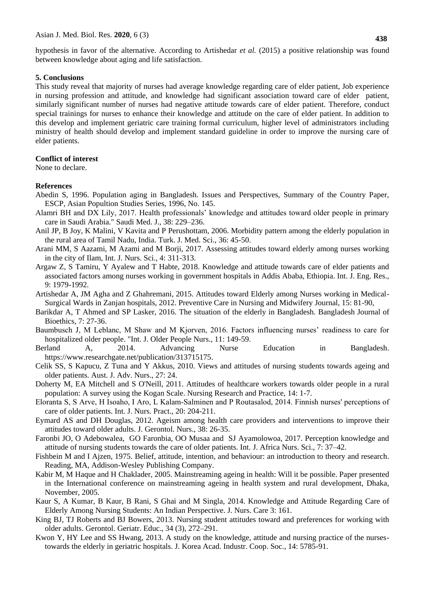hypothesis in favor of the alternative. According to Artishedar *et al.* (2015) a positive relationship was found between knowledge about aging and life satisfaction.

#### **5. Conclusions**

This study reveal that majority of nurses had average knowledge regarding care of elder patient, Job experience in nursing profession and attitude, and knowledge had significant association toward care of elder patient, similarly significant number of nurses had negative attitude towards care of elder patient. Therefore, conduct special trainings for nurses to enhance their knowledge and attitude on the care of elder patient. In addition to this develop and implement geriatric care training formal curriculum, higher level of administrators including ministry of health should develop and implement standard guideline in order to improve the nursing care of elder patients.

#### **Conflict of interest**

None to declare.

#### **References**

- Abedin S, 1996. Population aging in Bangladesh. Issues and Perspectives, Summary of the Country Paper, ESCP, Asian Popultion Studies Series, 1996, No. 145.
- Alamri BH and DX Lily, 2017. Health professionals' knowledge and attitudes toward older people in primary care in Saudi Arabia." Saudi Med. J., 38: 229–236.
- Anil JP, B Joy, K Malini, V Kavita and P Perushottam, 2006. Morbidity pattern among the elderly population in the rural area of Tamil Nadu, India. Turk. J. Med. Sci., 36: 45-50.
- Arani MM, S Aazami, M Azami and M Borji, 2017. Assessing attitudes toward elderly among nurses working in the city of Ilam, Int. J. Nurs. Sci., 4: 311-313.
- Argaw Z, S Tamiru, Y Ayalew and T Habte, 2018. Knowledge and attitude towards care of elder patients and associated factors among nurses working in government hospitals in Addis Ababa, Ethiopia. Int. J. Eng. Res., 9: 1979-1992.
- Artishedar A, JM Agha and Z Ghahremani, 2015. Attitudes toward Elderly among Nurses working in Medical-Surgical Wards in Zanjan hospitals, 2012. Preventive Care in Nursing and Midwifery Journal, 15: 81-90,
- Barikdar A, T Ahmed and SP Lasker, 2016. The situation of the elderly in Bangladesh. Bangladesh Journal of Bioethics, 7: 27-36.
- Baumbusch J, M Leblanc, M Shaw and M Kjorven, 2016. Factors influencing nurses' readiness to care for hospitalized older people. "Int. J. Older People Nurs., 11: 149-59.
- Berland A, 2014. Advancing Nurse Education in Bangladesh. [https://www.researchgate.net/publication/313715175.](https://www.researchgate.net/publication/313715175)
- Celik SS, S Kapucu, Z Tuna and Y Akkus, 2010. Views and attitudes of nursing students towards ageing and older patients. Aust. J. Adv. Nurs., 27: 24.
- Doherty M, EA Mitchell and S O'Neill, 2011. Attitudes of healthcare workers towards older people in a rural population: A survey using the Kogan Scale. Nursing Research and Practice, 14: 1-7.
- Eloranta S, S Arve, H Isoaho, I Aro, L Kalam‐Salminen and P Routasalod, 2014. Finnish nurses' perceptions of care of older patients. Int. J. Nurs. Pract., 20: 204-211.
- Eymard AS and DH Douglas, 2012. Ageism among health care providers and interventions to improve their attitudes toward older adults. J. Gerontol. Nurs., 38: 26-35.
- Faronbi JO, O Adebowalea, GO Faronbia, OO Musaa and SJ Ayamolowoa, 2017. Perception knowledge and attitude of nursing students towards the care of older patients. Int. J. Africa Nurs. Sci., 7: 37–42.
- Fishbein M and I Ajzen, 1975. Belief, attitude, intention, and behaviour: an introduction to theory and research. Reading, MA, Addison-Wesley Publishing Company.
- Kabir M, M Haque and H Chaklader, 2005. Mainstreaming ageing in health: Will it be possible. Paper presented in the International conference on mainstreaming ageing in health system and rural development, Dhaka, November, 2005.
- Kaur S, A Kumar, B Kaur, B Rani, S Ghai and M Singla, 2014. Knowledge and Attitude Regarding Care of Elderly Among Nursing Students: An Indian Perspective. J. Nurs. Care 3: 161.
- King BJ, TJ Roberts and BJ Bowers, 2013. Nursing student attitudes toward and preferences for working with older adults. Gerontol. Geriatr. Educ., 34 (3), 272–291.
- Kwon Y, HY Lee and SS Hwang, 2013. A study on the knowledge, attitude and nursing practice of the nursestowards the elderly in geriatric hospitals. J. Korea Acad. Industr. Coop. Soc., 14: 5785-91.